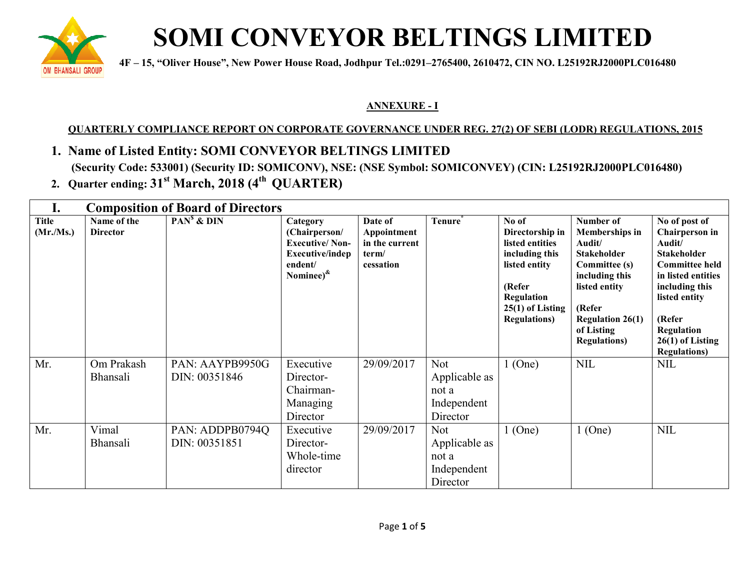

# **SOMI CONVEYOR BELTINGS LIMITED**

**1 4F** – 15, "Oliver House", New Power House Road, Jodhpur Tel.:0291–2765400, 2610472, CIN NO. L25192RJ2000PLC016480

#### **ANNEXURE - I**

### <u>QUARTERLY COMPLIANCE REPORT ON CORPORATE GOVERNANCE UNDER REG. 27(2) OF SEBI (LODR) REGULATIONS, 2015</u>

## **1. Name of Listed Entity: SOMI CONVEYOR BELTINGS LIMITED**

(Security Code: 533001) (Security ID: SOMICONV), NSE: (NSE Symbol: SOMICONVEY) (CIN: L25192RJ2000PLC016480)

**2. Quarter ending: 31st March, 2018 (4th QU QUARTER)**

| ı.                       | <b>Composition of Board of Directors</b> |                                  |                                                                                                               |                                                                |                                                                 |                                                                                                                                                      |                                                                                                                                                                                                          |                                                                                                                                                                                                                                |
|--------------------------|------------------------------------------|----------------------------------|---------------------------------------------------------------------------------------------------------------|----------------------------------------------------------------|-----------------------------------------------------------------|------------------------------------------------------------------------------------------------------------------------------------------------------|----------------------------------------------------------------------------------------------------------------------------------------------------------------------------------------------------------|--------------------------------------------------------------------------------------------------------------------------------------------------------------------------------------------------------------------------------|
| <b>Title</b><br>(Mr/Ms.) | Name of the<br><b>Director</b>           | $PANs$ & $DIN$                   | Category<br>(Chairperson/<br><b>Executive/Non-</b><br>Executive/indep<br>endent/<br>Nominee) <sup>&amp;</sup> | Date of<br>Appointment<br>in the current<br>term/<br>cessation | Tenure <sup>®</sup>                                             | No of<br>Directorship in<br>listed entities<br>including this<br>listed entity<br>(Refer<br>Regulation<br>$25(1)$ of Listing<br><b>Regulations</b> ) | Number of<br><b>Memberships in</b><br>Audit/<br><b>Stakeholder</b><br><b>Committee (s)</b><br>including this<br>listed entity<br>(Refer<br><b>Regulation 26(1)</b><br>of Listing<br><b>Regulations</b> ) | No of post of<br><b>Chairperson</b> in<br>Audit/<br><b>Stakeholder</b><br><b>Committee held</b><br>in listed entities<br>including this<br>listed entity<br>(Refer<br>Regulation<br>$26(1)$ of Listing<br><b>Regulations</b> ) |
| Mr.                      | Om Prakash<br>Bhansali                   | PAN: AAYPB9950G<br>DIN: 00351846 | Executive<br>Director-<br>Chairman-<br>Managing<br>Director                                                   | 29/09/2017                                                     | <b>Not</b><br>Applicable as<br>not a<br>Independent<br>Director | $1$ (One)                                                                                                                                            | <b>NIL</b>                                                                                                                                                                                               | <b>NIL</b>                                                                                                                                                                                                                     |
| Mr.                      | Vimal<br>Bhansali                        | PAN: ADDPB0794Q<br>DIN: 00351851 | Executive<br>Director-<br>Whole-time<br>director                                                              | 29/09/2017                                                     | <b>Not</b><br>Applicable as<br>not a<br>Independent<br>Director | $1$ (One)                                                                                                                                            | $1$ (One)                                                                                                                                                                                                | <b>NIL</b>                                                                                                                                                                                                                     |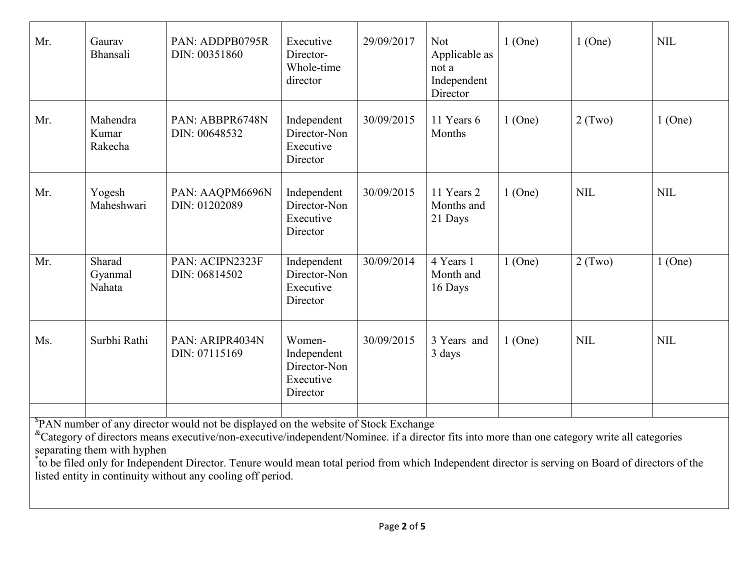| Mr.                                                                                                                                                                                                                                                                                                                                                                                                                                                                                                                  | Gaurav<br>Bhansali           | PAN: ADDPB0795R<br>DIN: 00351860 | Executive<br>Director-<br>Whole-time<br>director               | 29/09/2017 | <b>Not</b><br>Applicable as<br>not a<br>Independent<br>Director | $1$ (One) | $1$ (One)  | <b>NIL</b> |
|----------------------------------------------------------------------------------------------------------------------------------------------------------------------------------------------------------------------------------------------------------------------------------------------------------------------------------------------------------------------------------------------------------------------------------------------------------------------------------------------------------------------|------------------------------|----------------------------------|----------------------------------------------------------------|------------|-----------------------------------------------------------------|-----------|------------|------------|
| Mr.                                                                                                                                                                                                                                                                                                                                                                                                                                                                                                                  | Mahendra<br>Kumar<br>Rakecha | PAN: ABBPR6748N<br>DIN: 00648532 | Independent<br>Director-Non<br>Executive<br>Director           | 30/09/2015 | 11 Years 6<br>Months                                            | $1$ (One) | $2$ (Two)  | $1$ (One)  |
| Mr.                                                                                                                                                                                                                                                                                                                                                                                                                                                                                                                  | Yogesh<br>Maheshwari         | PAN: AAQPM6696N<br>DIN: 01202089 | Independent<br>Director-Non<br>Executive<br>Director           | 30/09/2015 | 11 Years 2<br>Months and<br>21 Days                             | $1$ (One) | <b>NIL</b> | <b>NIL</b> |
| Mr.                                                                                                                                                                                                                                                                                                                                                                                                                                                                                                                  | Sharad<br>Gyanmal<br>Nahata  | PAN: ACIPN2323F<br>DIN: 06814502 | Independent<br>Director-Non<br>Executive<br>Director           | 30/09/2014 | 4 Years 1<br>Month and<br>16 Days                               | $1$ (One) | $2$ (Two)  | $1$ (One)  |
| Ms.                                                                                                                                                                                                                                                                                                                                                                                                                                                                                                                  | Surbhi Rathi                 | PAN: ARIPR4034N<br>DIN: 07115169 | Women-<br>Independent<br>Director-Non<br>Executive<br>Director | 30/09/2015 | 3 Years and<br>3 days                                           | $1$ (One) | <b>NIL</b> | <b>NIL</b> |
| <sup>\$</sup> PAN number of any director would not be displayed on the website of Stock Exchange<br><sup>&amp;</sup> Category of directors means executive/non-executive/independent/Nominee. if a director fits into more than one category write all categories<br>separating them with hyphen<br>to be filed only for Independent Director. Tenure would mean total period from which Independent director is serving on Board of directors of the<br>listed entity in continuity without any cooling off period. |                              |                                  |                                                                |            |                                                                 |           |            |            |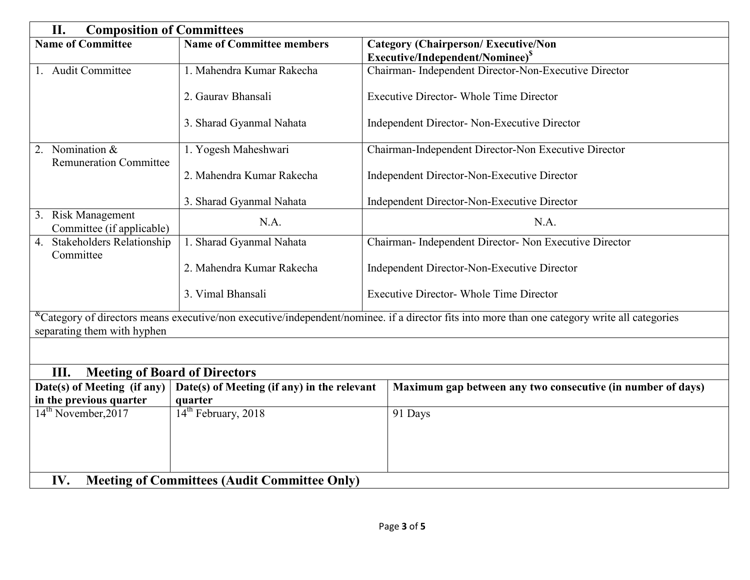| II.<br><b>Composition of Committees</b>                                                                                                                                                      |                                                                     |                                                             |  |  |  |
|----------------------------------------------------------------------------------------------------------------------------------------------------------------------------------------------|---------------------------------------------------------------------|-------------------------------------------------------------|--|--|--|
| <b>Name of Committee</b>                                                                                                                                                                     | <b>Name of Committee members</b>                                    | <b>Category (Chairperson/Executive/Non</b>                  |  |  |  |
|                                                                                                                                                                                              |                                                                     | Executive/Independent/Nominee) <sup>S</sup>                 |  |  |  |
| 1. Audit Committee                                                                                                                                                                           | 1. Mahendra Kumar Rakecha                                           | Chairman- Independent Director-Non-Executive Director       |  |  |  |
|                                                                                                                                                                                              | 2. Gauray Bhansali                                                  | <b>Executive Director- Whole Time Director</b>              |  |  |  |
|                                                                                                                                                                                              | 3. Sharad Gyanmal Nahata                                            | Independent Director- Non-Executive Director                |  |  |  |
| 2. Nomination $&$<br><b>Remuneration Committee</b>                                                                                                                                           | 1. Yogesh Maheshwari                                                | Chairman-Independent Director-Non Executive Director        |  |  |  |
|                                                                                                                                                                                              | 2. Mahendra Kumar Rakecha                                           | Independent Director-Non-Executive Director                 |  |  |  |
|                                                                                                                                                                                              | 3. Sharad Gyanmal Nahata                                            | Independent Director-Non-Executive Director                 |  |  |  |
| 3. Risk Management<br>Committee (if applicable)                                                                                                                                              | N.A.                                                                | N.A.                                                        |  |  |  |
| <b>Stakeholders Relationship</b><br>4.<br>Committee                                                                                                                                          | 1. Sharad Gyanmal Nahata                                            | Chairman- Independent Director- Non Executive Director      |  |  |  |
|                                                                                                                                                                                              | Independent Director-Non-Executive Director                         |                                                             |  |  |  |
|                                                                                                                                                                                              | 3. Vimal Bhansali<br><b>Executive Director- Whole Time Director</b> |                                                             |  |  |  |
| <sup>&amp;</sup> Category of directors means executive/non executive/independent/nominee. if a director fits into more than one category write all categories<br>separating them with hyphen |                                                                     |                                                             |  |  |  |
|                                                                                                                                                                                              |                                                                     |                                                             |  |  |  |
| III.<br><b>Meeting of Board of Directors</b>                                                                                                                                                 |                                                                     |                                                             |  |  |  |
| Date(s) of Meeting (if any)<br>Date(s) of Meeting (if any) in the relevant                                                                                                                   |                                                                     | Maximum gap between any two consecutive (in number of days) |  |  |  |
| in the previous quarter                                                                                                                                                                      | quarter                                                             |                                                             |  |  |  |
| 14 <sup>th</sup> February, 2018<br>14 <sup>th</sup> November, 2017                                                                                                                           |                                                                     | 91 Days                                                     |  |  |  |
|                                                                                                                                                                                              |                                                                     |                                                             |  |  |  |
|                                                                                                                                                                                              |                                                                     |                                                             |  |  |  |
|                                                                                                                                                                                              |                                                                     |                                                             |  |  |  |
| IV.<br><b>Meeting of Committees (Audit Committee Only)</b>                                                                                                                                   |                                                                     |                                                             |  |  |  |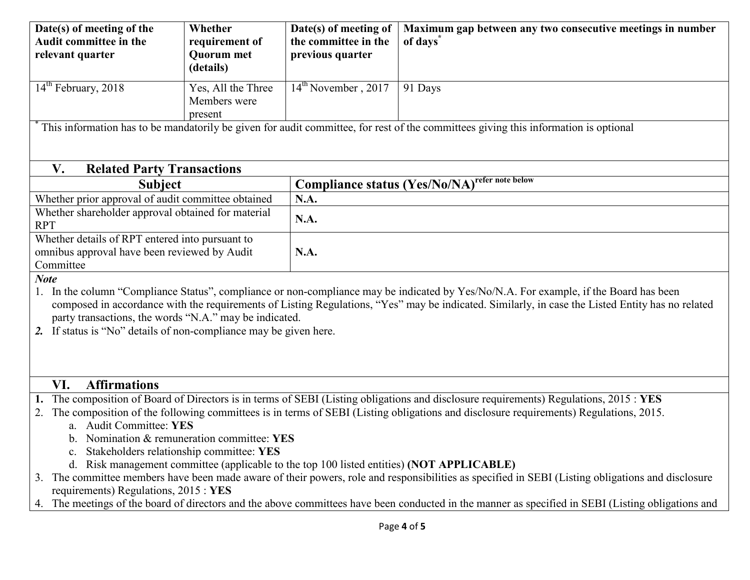| Date(s) of meeting of the<br>Audit committee in the<br>relevant quarter                                                                                                                                                                                                                                                                                                                                                                                                                                                                                                                                                                                  | Whether<br>requirement of<br><b>Quorum</b> met<br>(details)                                                                         | Date(s) of meeting of<br>the committee in the<br>previous quarter | Maximum gap between any two consecutive meetings in number<br>of days |  |  |  |
|----------------------------------------------------------------------------------------------------------------------------------------------------------------------------------------------------------------------------------------------------------------------------------------------------------------------------------------------------------------------------------------------------------------------------------------------------------------------------------------------------------------------------------------------------------------------------------------------------------------------------------------------------------|-------------------------------------------------------------------------------------------------------------------------------------|-------------------------------------------------------------------|-----------------------------------------------------------------------|--|--|--|
| $14th$ February, 2018                                                                                                                                                                                                                                                                                                                                                                                                                                                                                                                                                                                                                                    | Yes, All the Three<br>Members were<br>present                                                                                       | $14th$ November, 2017                                             | 91 Days                                                               |  |  |  |
|                                                                                                                                                                                                                                                                                                                                                                                                                                                                                                                                                                                                                                                          | This information has to be mandatorily be given for audit committee, for rest of the committees giving this information is optional |                                                                   |                                                                       |  |  |  |
| V.<br><b>Related Party Transactions</b>                                                                                                                                                                                                                                                                                                                                                                                                                                                                                                                                                                                                                  |                                                                                                                                     |                                                                   |                                                                       |  |  |  |
| <b>Subject</b>                                                                                                                                                                                                                                                                                                                                                                                                                                                                                                                                                                                                                                           |                                                                                                                                     |                                                                   | <b>Compliance status (Yes/No/NA)</b> refer note below                 |  |  |  |
| Whether prior approval of audit committee obtained                                                                                                                                                                                                                                                                                                                                                                                                                                                                                                                                                                                                       |                                                                                                                                     | N.A.                                                              |                                                                       |  |  |  |
| Whether shareholder approval obtained for material<br><b>RPT</b>                                                                                                                                                                                                                                                                                                                                                                                                                                                                                                                                                                                         |                                                                                                                                     | N.A.                                                              |                                                                       |  |  |  |
| Whether details of RPT entered into pursuant to                                                                                                                                                                                                                                                                                                                                                                                                                                                                                                                                                                                                          |                                                                                                                                     |                                                                   |                                                                       |  |  |  |
| omnibus approval have been reviewed by Audit<br>Committee                                                                                                                                                                                                                                                                                                                                                                                                                                                                                                                                                                                                |                                                                                                                                     | N.A.                                                              |                                                                       |  |  |  |
| <b>Note</b>                                                                                                                                                                                                                                                                                                                                                                                                                                                                                                                                                                                                                                              |                                                                                                                                     |                                                                   |                                                                       |  |  |  |
| In the column "Compliance Status", compliance or non-compliance may be indicated by Yes/No/N.A. For example, if the Board has been<br>composed in accordance with the requirements of Listing Regulations, "Yes" may be indicated. Similarly, in case the Listed Entity has no related<br>party transactions, the words "N.A." may be indicated.<br>If status is "No" details of non-compliance may be given here.                                                                                                                                                                                                                                       |                                                                                                                                     |                                                                   |                                                                       |  |  |  |
| <b>Affirmations</b><br>VI.                                                                                                                                                                                                                                                                                                                                                                                                                                                                                                                                                                                                                               |                                                                                                                                     |                                                                   |                                                                       |  |  |  |
| 1. The composition of Board of Directors is in terms of SEBI (Listing obligations and disclosure requirements) Regulations, 2015: YES<br>The composition of the following committees is in terms of SEBI (Listing obligations and disclosure requirements) Regulations, 2015.<br>2.<br>a. Audit Committee: YES<br>Nomination & remuneration committee: YES<br>Stakeholders relationship committee: YES<br>d. Risk management committee (applicable to the top 100 listed entities) (NOT APPLICABLE)<br>3. The committee members have been made aware of their powers, role and responsibilities as specified in SEBI (Listing obligations and disclosure |                                                                                                                                     |                                                                   |                                                                       |  |  |  |
| requirements) Regulations, 2015 : YES                                                                                                                                                                                                                                                                                                                                                                                                                                                                                                                                                                                                                    |                                                                                                                                     |                                                                   |                                                                       |  |  |  |
| The meetings of the board of directors and the above committees have been conducted in the manner as specified in SEBI (Listing obligations and<br>4.                                                                                                                                                                                                                                                                                                                                                                                                                                                                                                    |                                                                                                                                     |                                                                   |                                                                       |  |  |  |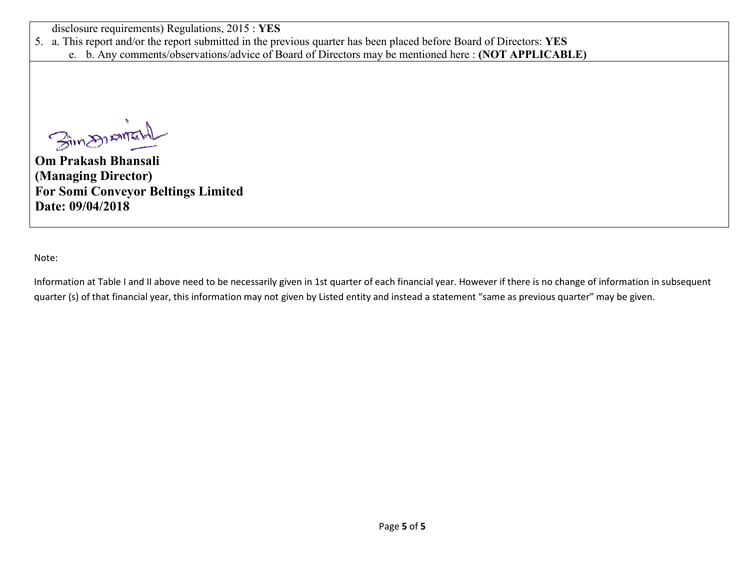disclosure requirements) Regulations, 2015 : **YES**

5. a. This report and/or the report submitted in the previous quarter has been placed before Board of Directors: YES

e. b. Any comments/observations/advice of Board of Directors may be mentioned here : **(NOT APPLICABLE)** 

**Om Prakash Bhansali** 

**(Managing Director) For Somi Conveyor Beltings Limited Date: 09/04/2018** 

Note:

Information at Table I and II above need to be necessarily given in 1st quarter of each financial year. However if there is no change of information in subsequent quarter (s) of that financial year, this information may not given by Listed entity and instead a statement "same as previous quarter" may be given.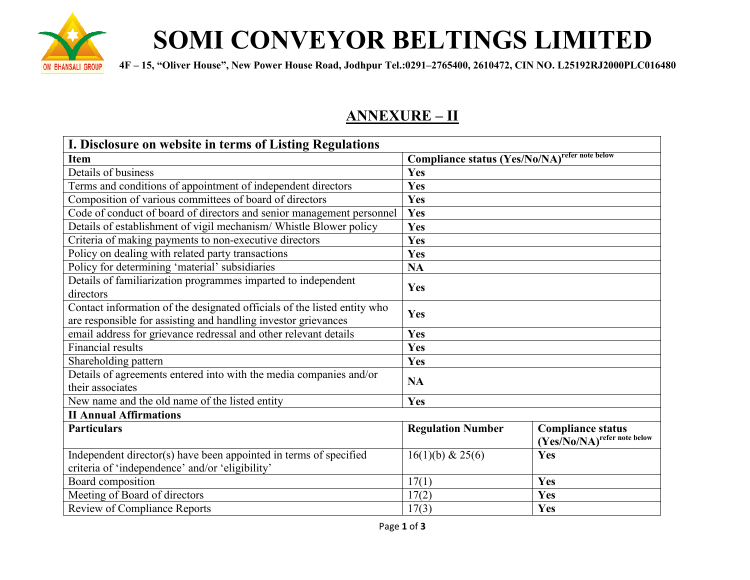

# **SOMI CONVEYOR BELTINGS LIMITED**

**SALI GROUP** 4F – 15, "Oliver House", New Power House Road, Jodhpur Tel.:0291–2765400, 2610472, CIN NO. L25192RJ2000PLC016480

## **ANNEXURE – II**

| I. Disclosure on website in terms of Listing Regulations                 |                                                       |                             |  |  |  |
|--------------------------------------------------------------------------|-------------------------------------------------------|-----------------------------|--|--|--|
| <b>Item</b>                                                              | <b>Compliance status (Yes/No/NA)</b> refer note below |                             |  |  |  |
| Details of business                                                      | Yes                                                   |                             |  |  |  |
| Terms and conditions of appointment of independent directors             | Yes                                                   |                             |  |  |  |
| Composition of various committees of board of directors                  | Yes                                                   |                             |  |  |  |
| Code of conduct of board of directors and senior management personnel    | Yes                                                   |                             |  |  |  |
| Details of establishment of vigil mechanism/ Whistle Blower policy       | Yes                                                   |                             |  |  |  |
| Criteria of making payments to non-executive directors                   | Yes                                                   |                             |  |  |  |
| Policy on dealing with related party transactions                        | Yes                                                   |                             |  |  |  |
| Policy for determining 'material' subsidiaries                           | <b>NA</b>                                             |                             |  |  |  |
| Details of familiarization programmes imparted to independent            | Yes                                                   |                             |  |  |  |
| directors                                                                |                                                       |                             |  |  |  |
| Contact information of the designated officials of the listed entity who | Yes                                                   |                             |  |  |  |
| are responsible for assisting and handling investor grievances           |                                                       |                             |  |  |  |
| email address for grievance redressal and other relevant details         | Yes                                                   |                             |  |  |  |
| Financial results                                                        | Yes                                                   |                             |  |  |  |
| Shareholding pattern                                                     | Yes                                                   |                             |  |  |  |
| Details of agreements entered into with the media companies and/or       | <b>NA</b>                                             |                             |  |  |  |
| their associates                                                         |                                                       |                             |  |  |  |
| New name and the old name of the listed entity                           | Yes                                                   |                             |  |  |  |
| <b>II Annual Affirmations</b>                                            |                                                       |                             |  |  |  |
| <b>Particulars</b>                                                       | <b>Regulation Number</b>                              | <b>Compliance status</b>    |  |  |  |
|                                                                          |                                                       | (Yes/No/NA)refer note below |  |  |  |
| Independent director(s) have been appointed in terms of specified        | 16(1)(b) & 25(6)                                      | Yes                         |  |  |  |
| criteria of 'independence' and/or 'eligibility'                          |                                                       |                             |  |  |  |
| Board composition                                                        | 17(1)                                                 | Yes                         |  |  |  |
| Meeting of Board of directors                                            | 17(2)                                                 | Yes                         |  |  |  |
| <b>Review of Compliance Reports</b>                                      | 17(3)                                                 | Yes                         |  |  |  |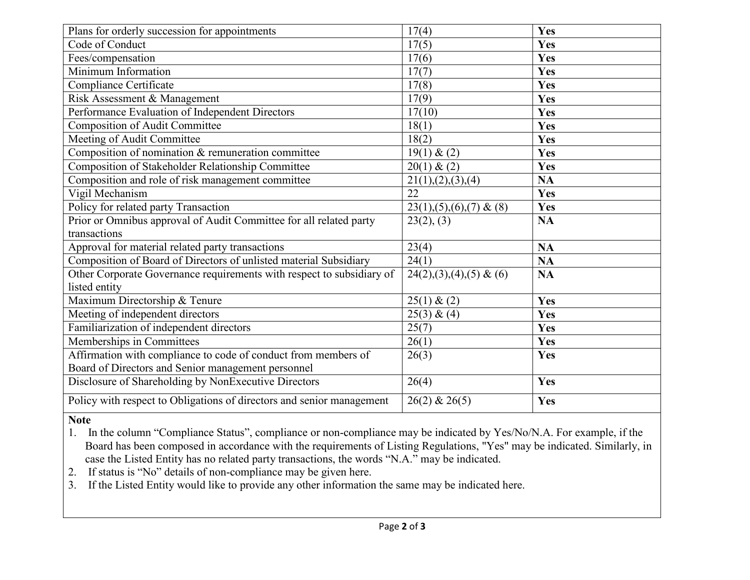| Plans for orderly succession for appointments                         | 17(4)                        | Yes        |
|-----------------------------------------------------------------------|------------------------------|------------|
| Code of Conduct                                                       | 17(5)                        | Yes        |
| Fees/compensation                                                     | 17(6)                        | Yes        |
| Minimum Information                                                   | 17(7)                        | Yes        |
| Compliance Certificate                                                | 17(8)                        | <b>Yes</b> |
| Risk Assessment & Management                                          | 17(9)                        | Yes        |
| Performance Evaluation of Independent Directors                       | 17(10)                       | Yes        |
| <b>Composition of Audit Committee</b>                                 | 18(1)                        | <b>Yes</b> |
| Meeting of Audit Committee                                            | 18(2)                        | Yes        |
| Composition of nomination & remuneration committee                    | 19(1) & (2)                  | Yes        |
| Composition of Stakeholder Relationship Committee                     | 20(1) & (2)                  | <b>Yes</b> |
| Composition and role of risk management committee                     | 21(1), (2), (3), (4)         | <b>NA</b>  |
| Vigil Mechanism                                                       | 22                           | Yes        |
| Policy for related party Transaction                                  | $23(1), (5), (6), (7)$ & (8) | Yes        |
| Prior or Omnibus approval of Audit Committee for all related party    | 23(2), (3)                   | <b>NA</b>  |
| transactions                                                          |                              |            |
| Approval for material related party transactions                      | 23(4)                        | <b>NA</b>  |
| Composition of Board of Directors of unlisted material Subsidiary     | 24(1)                        | <b>NA</b>  |
| Other Corporate Governance requirements with respect to subsidiary of | $24(2),(3),(4),(5)$ & (6)    | <b>NA</b>  |
| listed entity                                                         |                              |            |
| Maximum Directorship & Tenure                                         | 25(1) & (2)                  | Yes        |
| Meeting of independent directors                                      | 25(3) & (4)                  | Yes        |
| Familiarization of independent directors                              | 25(7)                        | Yes        |
| Memberships in Committees                                             | 26(1)                        | <b>Yes</b> |
| Affirmation with compliance to code of conduct from members of        | 26(3)                        | Yes        |
| Board of Directors and Senior management personnel                    |                              |            |
| Disclosure of Shareholding by NonExecutive Directors                  | 26(4)                        | Yes        |
| Policy with respect to Obligations of directors and senior management | $26(2)$ & $26(5)$            | Yes        |

#### **Note**

1. In the column "Compliance Status", compliance or non-compliance may be indicated by Yes/No/N.A. For example, if the Board has been composed in accordance with the requirements of Listing Regulations, "Yes" may be indicated. Similarly, in case the Listed Entity has no related party transactions, the words "N.A." may be indicated.

- 2. If status is "No" details of non-compliance may be given here.
- 3. If the Listed Entity would like to provide any other information the same may be indicated here.